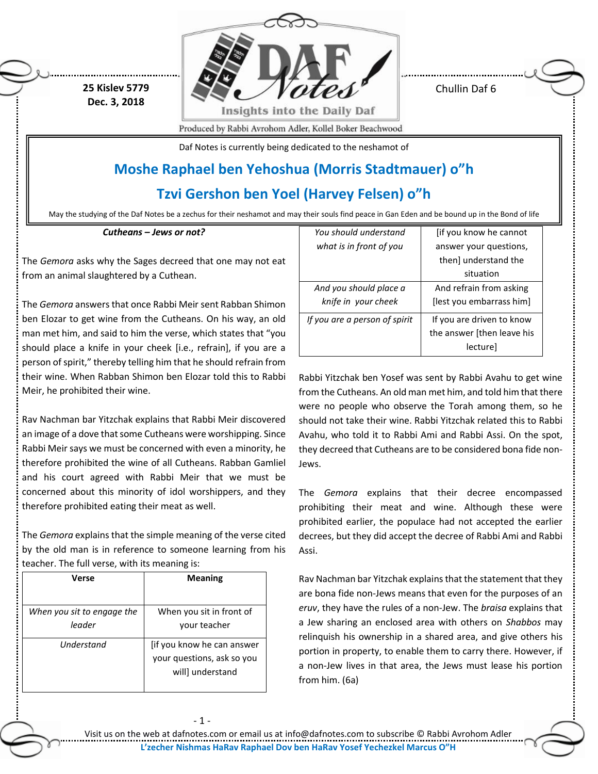**25 Kislev 5779 Dec. 3, 2018**



Chullin Daf 6

Produced by Rabbi Avrohom Adler, Kollel Boker Beachwood

Daf Notes is currently being dedicated to the neshamot of

# **Moshe Raphael ben Yehoshua (Morris Stadtmauer) o"h**

**Tzvi Gershon ben Yoel (Harvey Felsen) o"h**

May the studying of the Daf Notes be a zechus for their neshamot and may their souls find peace in Gan Eden and be bound up in the Bond of life

*Cutheans – Jews or not?*

The *Gemora* asks why the Sages decreed that one may not eat from an animal slaughtered by a Cuthean.

The *Gemora* answers that once Rabbi Meir sent Rabban Shimon ben Elozar to get wine from the Cutheans. On his way, an old man met him, and said to him the verse, which states that "you should place a knife in your cheek [i.e., refrain], if you are a person of spirit," thereby telling him that he should refrain from their wine. When Rabban Shimon ben Elozar told this to Rabbi Meir, he prohibited their wine.

Rav Nachman bar Yitzchak explains that Rabbi Meir discovered an image of a dove that some Cutheans were worshipping. Since Rabbi Meir says we must be concerned with even a minority, he therefore prohibited the wine of all Cutheans. Rabban Gamliel and his court agreed with Rabbi Meir that we must be concerned about this minority of idol worshippers, and they therefore prohibited eating their meat as well.

The *Gemora* explains that the simple meaning of the verse cited by the old man is in reference to someone learning from his teacher. The full verse, with its meaning is:

| Verse                      | <b>Meaning</b>             |
|----------------------------|----------------------------|
|                            |                            |
| When you sit to engage the | When you sit in front of   |
| leader                     | vour teacher               |
| Understand                 | [if you know he can answer |
|                            | your questions, ask so you |
|                            | will] understand           |

- 1 -

| You should understand         | [if you know he cannot     |
|-------------------------------|----------------------------|
| what is in front of you       | answer your questions,     |
|                               | then] understand the       |
|                               | situation                  |
| And you should place a        | And refrain from asking    |
| knife in your cheek           | [lest you embarrass him]   |
| If you are a person of spirit | If you are driven to know  |
|                               | the answer [then leave his |
|                               | lecture]                   |

Rabbi Yitzchak ben Yosef was sent by Rabbi Avahu to get wine from the Cutheans. An old man met him, and told him that there were no people who observe the Torah among them, so he should not take their wine. Rabbi Yitzchak related this to Rabbi Avahu, who told it to Rabbi Ami and Rabbi Assi. On the spot, they decreed that Cutheans are to be considered bona fide non-Jews.

The *Gemora* explains that their decree encompassed prohibiting their meat and wine. Although these were prohibited earlier, the populace had not accepted the earlier decrees, but they did accept the decree of Rabbi Ami and Rabbi Assi.

Rav Nachman bar Yitzchak explains that the statement that they are bona fide non-Jews means that even for the purposes of an *eruv*, they have the rules of a non-Jew. The *braisa* explains that a Jew sharing an enclosed area with others on *Shabbos* may relinquish his ownership in a shared area, and give others his portion in property, to enable them to carry there. However, if a non-Jew lives in that area, the Jews must lease his portion from him. (6a)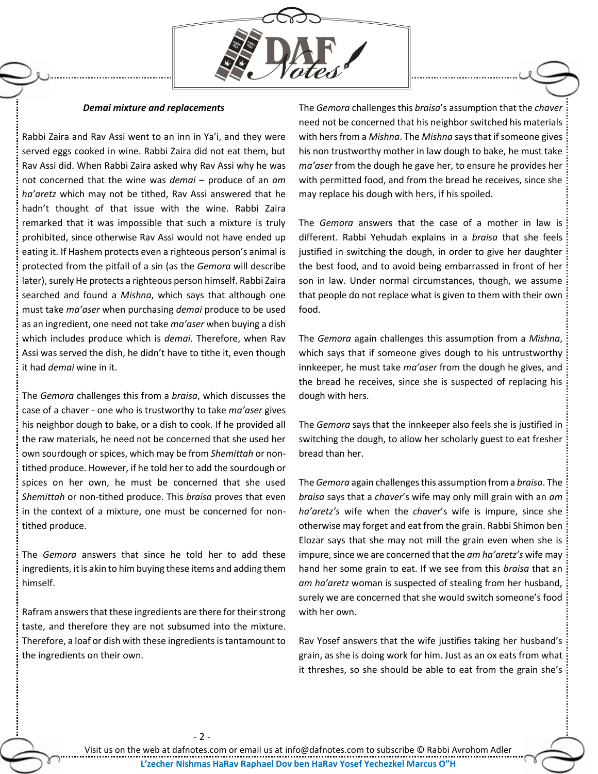

#### *Demai mixture and replacements*

Rabbi Zaira and Rav Assi went to an inn in Ya'i, and they were served eggs cooked in wine. Rabbi Zaira did not eat them, but Rav Assi did. When Rabbi Zaira asked why Rav Assi why he was not concerned that the wine was *demai* – produce of an *am ha'aretz* which may not be tithed, Rav Assi answered that he hadn't thought of that issue with the wine. Rabbi Zaira remarked that it was impossible that such a mixture is truly prohibited, since otherwise Rav Assi would not have ended up eating it. If Hashem protects even a righteous person's animal is protected from the pitfall of a sin (as the *Gemora* will describe later), surely He protects a righteous person himself. Rabbi Zaira searched and found a *Mishna*, which says that although one must take *ma'aser* when purchasing *demai* produce to be used as an ingredient, one need not take *ma'aser* when buying a dish which includes produce which is *demai*. Therefore, when Rav Assi was served the dish, he didn't have to tithe it, even though it had *demai* wine in it.

The *Gemora* challenges this from a *braisa*, which discusses the case of a chaver - one who is trustworthy to take *ma'aser* gives his neighbor dough to bake, or a dish to cook. If he provided all the raw materials, he need not be concerned that she used her own sourdough or spices, which may be from *Shemittah* or nontithed produce. However, if he told her to add the sourdough or spices on her own, he must be concerned that she used *Shemittah* or non-tithed produce. This *braisa* proves that even in the context of a mixture, one must be concerned for nontithed produce.

The *Gemora* answers that since he told her to add these ingredients, it is akin to him buying these items and adding them himself.

Rafram answers that these ingredients are there for their strong taste, and therefore they are not subsumed into the mixture. Therefore, a loaf or dish with these ingredients is tantamount to the ingredients on their own.

- 2 -

The *Gemora* challenges this *braisa*'s assumption that the *chaver* need not be concerned that his neighbor switched his materials with hers from a *Mishna*. The *Mishna* says that if someone gives his non trustworthy mother in law dough to bake, he must take *ma'aser* from the dough he gave her, to ensure he provides her with permitted food, and from the bread he receives, since she may replace his dough with hers, if his spoiled.

The *Gemora* answers that the case of a mother in law is different. Rabbi Yehudah explains in a *braisa* that she feels justified in switching the dough, in order to give her daughter the best food, and to avoid being embarrassed in front of her son in law. Under normal circumstances, though, we assume that people do not replace what is given to them with their own food.

The *Gemora* again challenges this assumption from a *Mishna*, which says that if someone gives dough to his untrustworthy innkeeper, he must take *ma'aser* from the dough he gives, and the bread he receives, since she is suspected of replacing his dough with hers.

The *Gemora* says that the innkeeper also feels she is justified in switching the dough, to allow her scholarly guest to eat fresher bread than her.

The *Gemora* again challenges this assumption from a *braisa*. The *braisa* says that a *chaver*'s wife may only mill grain with an *am ha'aretz's* wife when the *chaver*'s wife is impure, since she otherwise may forget and eat from the grain. Rabbi Shimon ben Elozar says that she may not mill the grain even when she is impure, since we are concerned that the *am ha'aretz's* wife may hand her some grain to eat. If we see from this *braisa* that an *am ha'aretz* woman is suspected of stealing from her husband, surely we are concerned that she would switch someone's food with her own.

Rav Yosef answers that the wife justifies taking her husband's grain, as she is doing work for him. Just as an ox eats from what it threshes, so she should be able to eat from the grain she's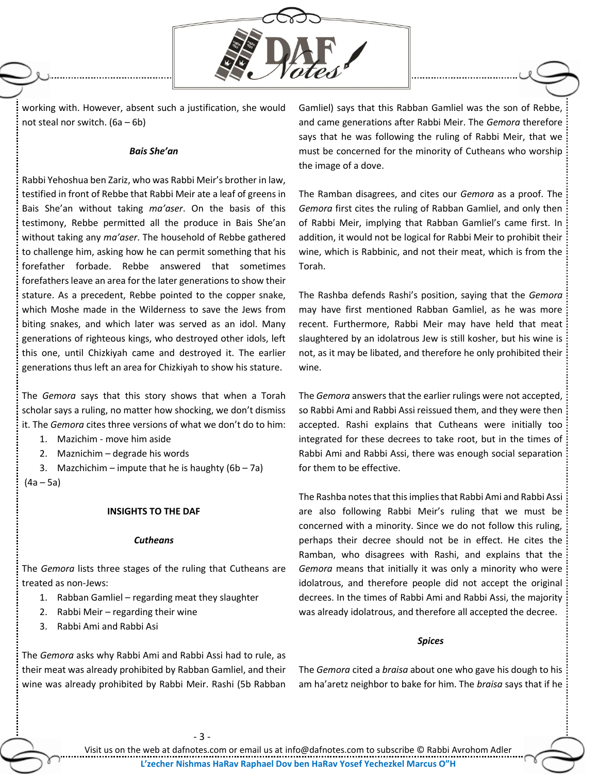

working with. However, absent such a justification, she would not steal nor switch. (6a – 6b)

### *Bais She'an*

Rabbi Yehoshua ben Zariz, who was Rabbi Meir's brother in law, testified in front of Rebbe that Rabbi Meir ate a leaf of greens in Bais She'an without taking *ma'aser*. On the basis of this testimony, Rebbe permitted all the produce in Bais She'an without taking any *ma'aser*. The household of Rebbe gathered to challenge him, asking how he can permit something that his forefather forbade. Rebbe answered that sometimes forefathers leave an area for the later generations to show their stature. As a precedent, Rebbe pointed to the copper snake, which Moshe made in the Wilderness to save the Jews from biting snakes, and which later was served as an idol. Many generations of righteous kings, who destroyed other idols, left this one, until Chizkiyah came and destroyed it. The earlier generations thus left an area for Chizkiyah to show his stature.

The *Gemora* says that this story shows that when a Torah scholar says a ruling, no matter how shocking, we don't dismiss it. The *Gemora* cites three versions of what we don't do to him:

- 1. Mazichim move him aside
- 2. Maznichim degrade his words

3. Mazchichim – impute that he is haughty  $(6b - 7a)$ (4a – 5a)

#### **INSIGHTS TO THE DAF**

#### *Cutheans*

The *Gemora* lists three stages of the ruling that Cutheans are treated as non-Jews:

- 1. Rabban Gamliel regarding meat they slaughter
- 2. Rabbi Meir regarding their wine
- 3. Rabbi Ami and Rabbi Asi

The *Gemora* asks why Rabbi Ami and Rabbi Assi had to rule, as their meat was already prohibited by Rabban Gamliel, and their wine was already prohibited by Rabbi Meir. Rashi (5b Rabban Gamliel) says that this Rabban Gamliel was the son of Rebbe, and came generations after Rabbi Meir. The *Gemora* therefore says that he was following the ruling of Rabbi Meir, that we must be concerned for the minority of Cutheans who worship the image of a dove.

The Ramban disagrees, and cites our *Gemora* as a proof. The *Gemora* first cites the ruling of Rabban Gamliel, and only then of Rabbi Meir, implying that Rabban Gamliel's came first. In addition, it would not be logical for Rabbi Meir to prohibit their wine, which is Rabbinic, and not their meat, which is from the Torah.

The Rashba defends Rashi's position, saying that the *Gemora* may have first mentioned Rabban Gamliel, as he was more recent. Furthermore, Rabbi Meir may have held that meat slaughtered by an idolatrous Jew is still kosher, but his wine is not, as it may be libated, and therefore he only prohibited their wine.

The *Gemora* answers that the earlier rulings were not accepted, so Rabbi Ami and Rabbi Assi reissued them, and they were then accepted. Rashi explains that Cutheans were initially too integrated for these decrees to take root, but in the times of Rabbi Ami and Rabbi Assi, there was enough social separation for them to be effective.

The Rashba notes that this implies that Rabbi Ami and Rabbi Assi are also following Rabbi Meir's ruling that we must be concerned with a minority. Since we do not follow this ruling, perhaps their decree should not be in effect. He cites the Ramban, who disagrees with Rashi, and explains that the *Gemora* means that initially it was only a minority who were idolatrous, and therefore people did not accept the original decrees. In the times of Rabbi Ami and Rabbi Assi, the majority was already idolatrous, and therefore all accepted the decree.

#### *Spices*

The *Gemora* cited a *braisa* about one who gave his dough to his am ha'aretz neighbor to bake for him. The *braisa* says that if he

- 3 -

Visit us on the web at dafnotes.com or email us at [info@dafnotes.com](mailto:info@dafnotes.com) to subscribe © Rabbi Avrohom Adler **L'zecher Nishmas HaRav Raphael Dov ben HaRav Yosef Yechezkel Marcus O"H**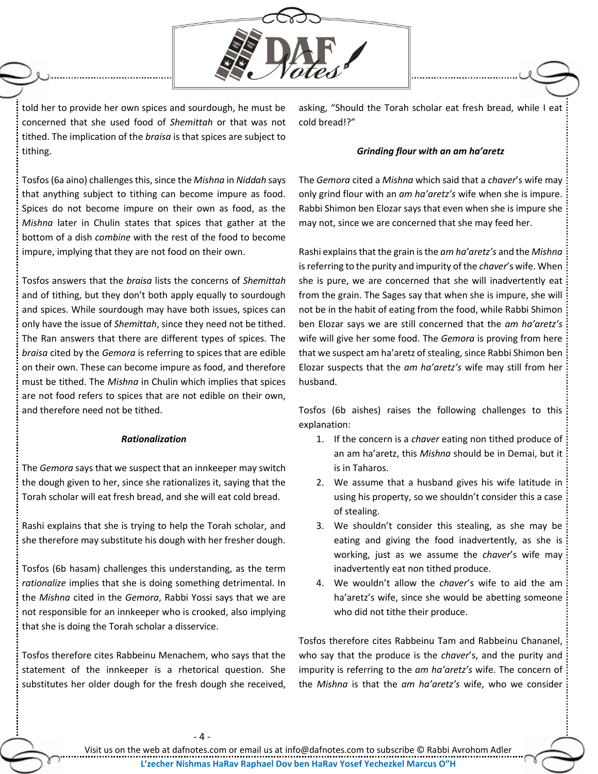

told her to provide her own spices and sourdough, he must be concerned that she used food of *Shemittah* or that was not tithed. The implication of the *braisa* is that spices are subject to tithing.

asking, "Should the Torah scholar eat fresh bread, while I eat cold bread!?"

## *Grinding flour with an am ha'aretz*

Tosfos (6a aino) challenges this, since the *Mishna* in *Niddah* says that anything subject to tithing can become impure as food. Spices do not become impure on their own as food, as the *Mishna* later in Chulin states that spices that gather at the bottom of a dish *combine* with the rest of the food to become impure, implying that they are not food on their own.

Tosfos answers that the *braisa* lists the concerns of *Shemittah* and of tithing, but they don't both apply equally to sourdough and spices. While sourdough may have both issues, spices can only have the issue of *Shemittah*, since they need not be tithed. The Ran answers that there are different types of spices. The *braisa* cited by the *Gemora* is referring to spices that are edible on their own. These can become impure as food, and therefore must be tithed. The *Mishna* in Chulin which implies that spices are not food refers to spices that are not edible on their own, and therefore need not be tithed.

## *Rationalization*

The *Gemora* says that we suspect that an innkeeper may switch the dough given to her, since she rationalizes it, saying that the Torah scholar will eat fresh bread, and she will eat cold bread.

Rashi explains that she is trying to help the Torah scholar, and she therefore may substitute his dough with her fresher dough.

Tosfos (6b hasam) challenges this understanding, as the term *rationalize* implies that she is doing something detrimental. In the *Mishna* cited in the *Gemora*, Rabbi Yossi says that we are not responsible for an innkeeper who is crooked, also implying that she is doing the Torah scholar a disservice.

Tosfos therefore cites Rabbeinu Menachem, who says that the statement of the innkeeper is a rhetorical question. She substitutes her older dough for the fresh dough she received, The *Gemora* cited a *Mishna* which said that a *chaver*'s wife may only grind flour with an *am ha'aretz's* wife when she is impure. Rabbi Shimon ben Elozar says that even when she is impure she may not, since we are concerned that she may feed her.

Rashi explains that the grain is the *am ha'aretz's* and the *Mishna* is referring to the purity and impurity of the *chaver*'s wife. When she is pure, we are concerned that she will inadvertently eat from the grain. The Sages say that when she is impure, she will not be in the habit of eating from the food, while Rabbi Shimon ben Elozar says we are still concerned that the *am ha'aretz's* wife will give her some food. The *Gemora* is proving from here that we suspect am ha'aretz of stealing, since Rabbi Shimon ben Elozar suspects that the *am ha'aretz's* wife may still from her husband.

Tosfos (6b aishes) raises the following challenges to this explanation:

- 1. If the concern is a *chaver* eating non tithed produce of an am ha'aretz, this *Mishna* should be in Demai, but it is in Taharos.
- 2. We assume that a husband gives his wife latitude in using his property, so we shouldn't consider this a case of stealing.
- 3. We shouldn't consider this stealing, as she may be eating and giving the food inadvertently, as she is working, just as we assume the *chaver*'s wife may inadvertently eat non tithed produce.
- 4. We wouldn't allow the *chaver*'s wife to aid the am ha'aretz's wife, since she would be abetting someone who did not tithe their produce.

Tosfos therefore cites Rabbeinu Tam and Rabbeinu Chananel, who say that the produce is the *chaver*'s, and the purity and impurity is referring to the *am ha'aretz's* wife. The concern of the *Mishna* is that the *am ha'aretz's* wife, who we consider